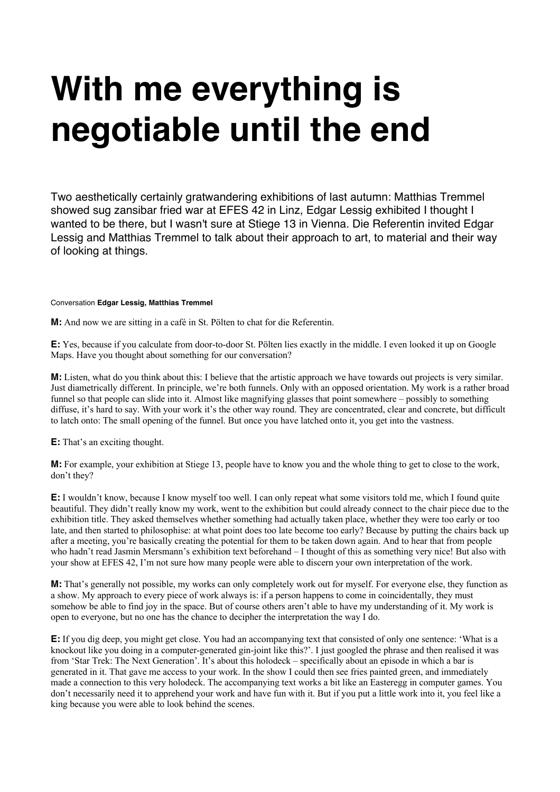## **With me everything is negotiable until the end**

Two aesthetically certainly gratwandering exhibitions of last autumn: Matthias Tremmel showed sug zansibar fried war at EFES 42 in Linz, Edgar Lessig exhibited I thought I wanted to be there, but I wasn't sure at Stiege 13 in Vienna. Die Referentin invited Edgar Lessig and Matthias Tremmel to talk about their approach to art, to material and their way of looking at things.

## Conversation **Edgar Lessig, Matthias Tremmel**

**M:** And now we are sitting in a café in St. Pölten to chat for die Referentin.

**E:** Yes, because if you calculate from door-to-door St. Pölten lies exactly in the middle. I even looked it up on Google Maps. Have you thought about something for our conversation?

**M:** Listen, what do you think about this: I believe that the artistic approach we have towards out projects is very similar. Just diametrically different. In principle, we're both funnels. Only with an opposed orientation. My work is a rather broad funnel so that people can slide into it. Almost like magnifying glasses that point somewhere – possibly to something diffuse, it's hard to say. With your work it's the other way round. They are concentrated, clear and concrete, but difficult to latch onto: The small opening of the funnel. But once you have latched onto it, you get into the vastness.

**E:** That's an exciting thought.

**M:** For example, your exhibition at Stiege 13, people have to know you and the whole thing to get to close to the work, don't they?

**E:** I wouldn't know, because I know myself too well. I can only repeat what some visitors told me, which I found quite beautiful. They didn't really know my work, went to the exhibition but could already connect to the chair piece due to the exhibition title. They asked themselves whether something had actually taken place, whether they were too early or too late, and then started to philosophise: at what point does too late become too early? Because by putting the chairs back up after a meeting, you're basically creating the potential for them to be taken down again. And to hear that from people who hadn't read Jasmin Mersmann's exhibition text beforehand – I thought of this as something very nice! But also with your show at EFES 42, I'm not sure how many people were able to discern your own interpretation of the work.

**M:** That's generally not possible, my works can only completely work out for myself. For everyone else, they function as a show. My approach to every piece of work always is: if a person happens to come in coincidentally, they must somehow be able to find joy in the space. But of course others aren't able to have my understanding of it. My work is open to everyone, but no one has the chance to decipher the interpretation the way I do.

**E:** If you dig deep, you might get close. You had an accompanying text that consisted of only one sentence: 'What is a knockout like you doing in a computer-generated gin-joint like this?'. I just googled the phrase and then realised it was from 'Star Trek: The Next Generation'. It's about this holodeck – specifically about an episode in which a bar is generated in it. That gave me access to your work. In the show I could then see fries painted green, and immediately made a connection to this very holodeck. The accompanying text works a bit like an Easteregg in computer games. You don't necessarily need it to apprehend your work and have fun with it. But if you put a little work into it, you feel like a king because you were able to look behind the scenes.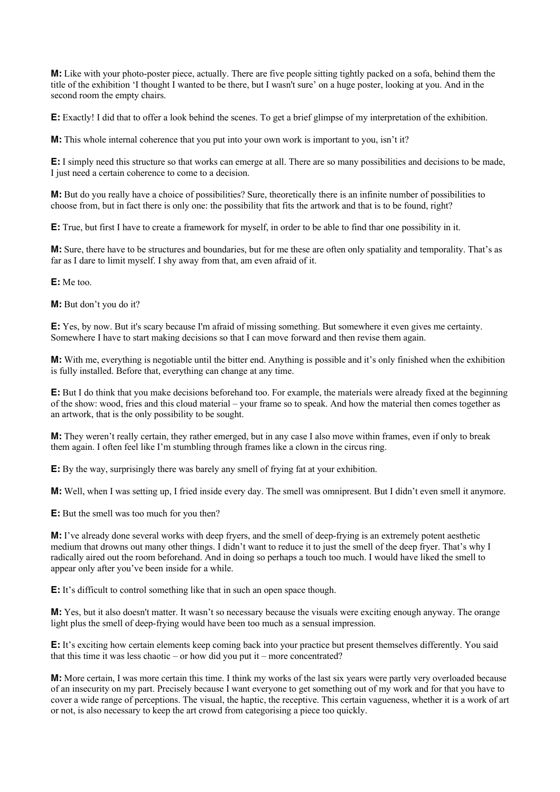**M:** Like with your photo-poster piece, actually. There are five people sitting tightly packed on a sofa, behind them the title of the exhibition 'I thought I wanted to be there, but I wasn't sure' on a huge poster, looking at you. And in the second room the empty chairs.

**E:** Exactly! I did that to offer a look behind the scenes. To get a brief glimpse of my interpretation of the exhibition.

**M:** This whole internal coherence that you put into your own work is important to you, isn't it?

**E:** I simply need this structure so that works can emerge at all. There are so many possibilities and decisions to be made, I just need a certain coherence to come to a decision.

**M:** But do you really have a choice of possibilities? Sure, theoretically there is an infinite number of possibilities to choose from, but in fact there is only one: the possibility that fits the artwork and that is to be found, right?

**E:** True, but first I have to create a framework for myself, in order to be able to find thar one possibility in it.

**M:** Sure, there have to be structures and boundaries, but for me these are often only spatiality and temporality. That's as far as I dare to limit myself. I shy away from that, am even afraid of it.

**E:** Me too.

**M:** But don't you do it?

**E:** Yes, by now. But it's scary because I'm afraid of missing something. But somewhere it even gives me certainty. Somewhere I have to start making decisions so that I can move forward and then revise them again.

**M:** With me, everything is negotiable until the bitter end. Anything is possible and it's only finished when the exhibition is fully installed. Before that, everything can change at any time.

**E:** But I do think that you make decisions beforehand too. For example, the materials were already fixed at the beginning of the show: wood, fries and this cloud material – your frame so to speak. And how the material then comes together as an artwork, that is the only possibility to be sought.

**M:** They weren't really certain, they rather emerged, but in any case I also move within frames, even if only to break them again. I often feel like I'm stumbling through frames like a clown in the circus ring.

**E:** By the way, surprisingly there was barely any smell of frying fat at your exhibition.

**M:** Well, when I was setting up, I fried inside every day. The smell was omnipresent. But I didn't even smell it anymore.

**E:** But the smell was too much for you then?

**M:** I've already done several works with deep fryers, and the smell of deep-frying is an extremely potent aesthetic medium that drowns out many other things. I didn't want to reduce it to just the smell of the deep fryer. That's why I radically aired out the room beforehand. And in doing so perhaps a touch too much. I would have liked the smell to appear only after you've been inside for a while.

**E:** It's difficult to control something like that in such an open space though.

**M:** Yes, but it also doesn't matter. It wasn't so necessary because the visuals were exciting enough anyway. The orange light plus the smell of deep-frying would have been too much as a sensual impression.

**E:** It's exciting how certain elements keep coming back into your practice but present themselves differently. You said that this time it was less chaotic – or how did you put it – more concentrated?

**M:** More certain, I was more certain this time. I think my works of the last six years were partly very overloaded because of an insecurity on my part. Precisely because I want everyone to get something out of my work and for that you have to cover a wide range of perceptions. The visual, the haptic, the receptive. This certain vagueness, whether it is a work of art or not, is also necessary to keep the art crowd from categorising a piece too quickly.